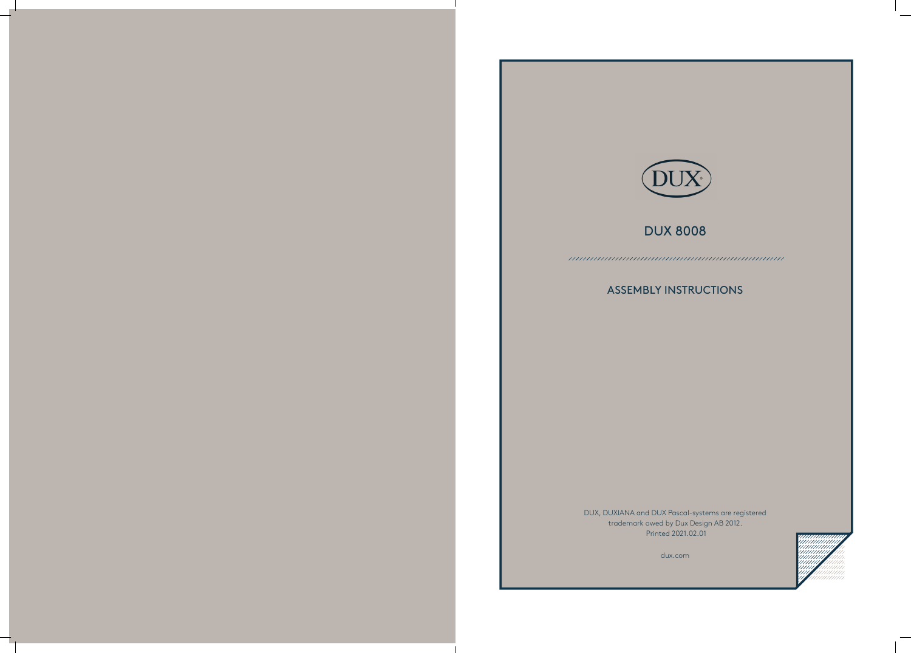# DUX 8008

## ASSEMBLY INSTRUCTIONS

DUX, DUXIANA and DUX Pascal-systems are registered trademark owed by Dux Design AB 2012. Printed 2021.02.01





dux.com

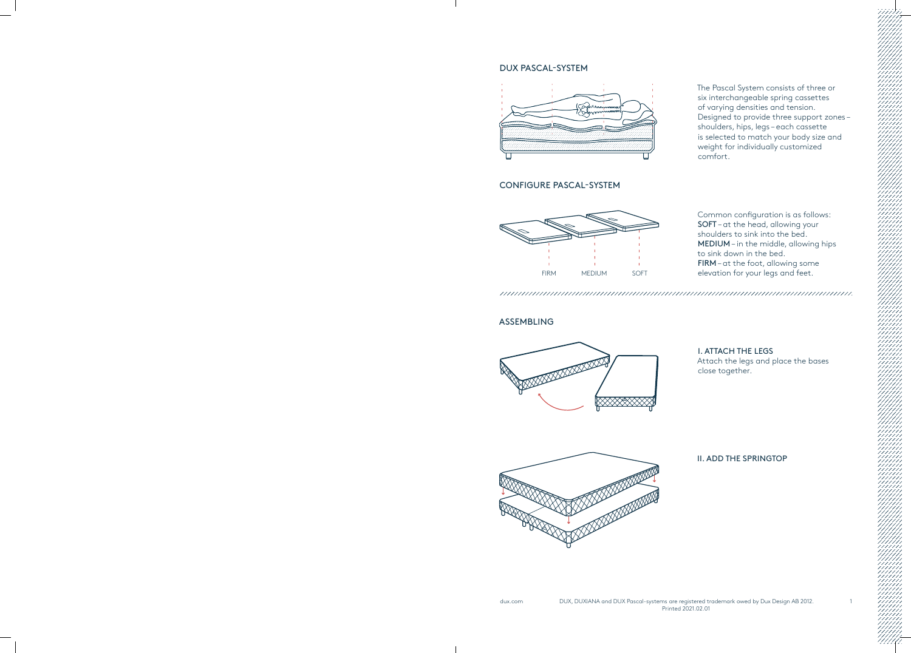#### DUX PASCAL-SYSTEM



#### CONFIGURE PASCAL-SYSTEM

### ASSEMBLING





The Pascal System consists of three or six interchangeable spring cassettes of varying densities and tension. Designed to provide three support zones – shoulders, hips, legs – each cassette is selected to match your body size and weight for individually customized comfort.

Common configuration is as follows: SOFT – at the head, allowing your shoulders to sink into the bed. MEDIUM – in the middle, allowing hips to sink down in the bed. FIRM – at the foot, allowing some elevation for your legs and feet.

I. ATTACH THE LEGS Attach the legs and place the bases

close together.

#### II. ADD THE SPRINGTOP



dux.com DUX, DUXIANA and DUX Pascal-systems are registered trademark owed by Dux Design AB 2012. Printed 2021.02.01

1